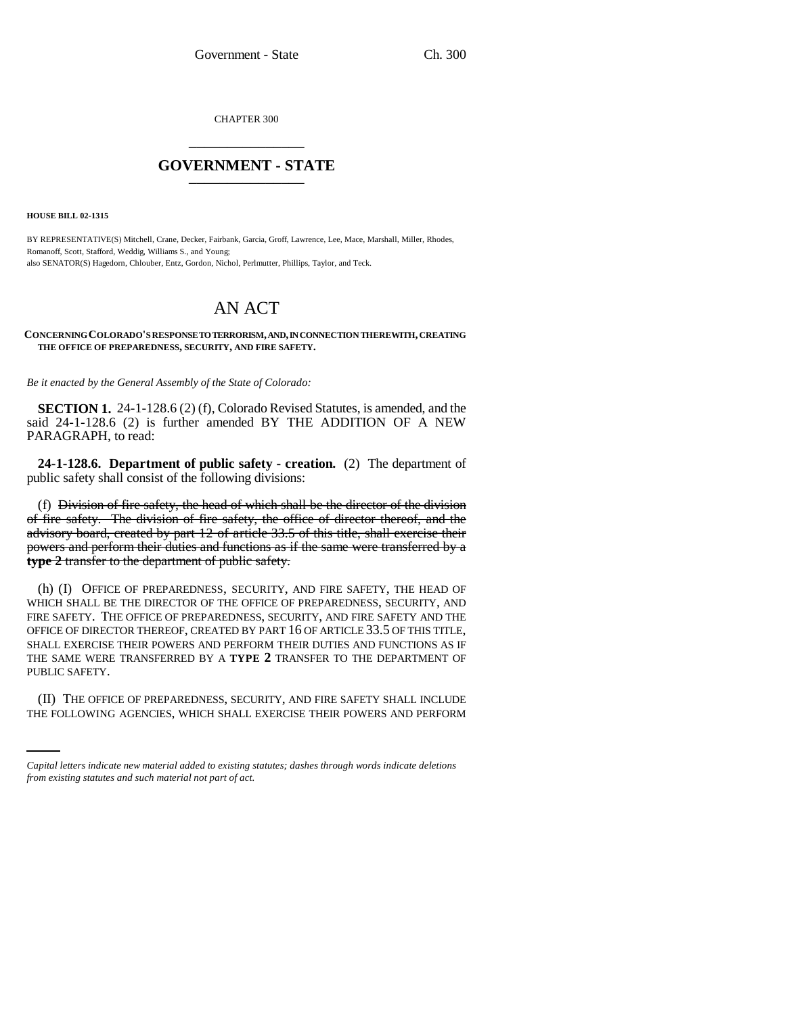CHAPTER 300 \_\_\_\_\_\_\_\_\_\_\_\_\_\_\_

## **GOVERNMENT - STATE** \_\_\_\_\_\_\_\_\_\_\_\_\_\_\_

**HOUSE BILL 02-1315**

BY REPRESENTATIVE(S) Mitchell, Crane, Decker, Fairbank, Garcia, Groff, Lawrence, Lee, Mace, Marshall, Miller, Rhodes, Romanoff, Scott, Stafford, Weddig, Williams S., and Young; also SENATOR(S) Hagedorn, Chlouber, Entz, Gordon, Nichol, Perlmutter, Phillips, Taylor, and Teck.

# AN ACT

**CONCERNING COLORADO'S RESPONSE TO TERRORISM, AND, IN CONNECTION THEREWITH, CREATING THE OFFICE OF PREPAREDNESS, SECURITY, AND FIRE SAFETY.**

*Be it enacted by the General Assembly of the State of Colorado:*

**SECTION 1.** 24-1-128.6 (2) (f), Colorado Revised Statutes, is amended, and the said 24-1-128.6 (2) is further amended BY THE ADDITION OF A NEW PARAGRAPH, to read:

**24-1-128.6. Department of public safety - creation.** (2) The department of public safety shall consist of the following divisions:

(f) Division of fire safety, the head of which shall be the director of the division of fire safety. The division of fire safety, the office of director thereof, and the advisory board, created by part 12 of article 33.5 of this title, shall exercise their powers and perform their duties and functions as if the same were transferred by a **type 2** transfer to the department of public safety.

(h) (I) OFFICE OF PREPAREDNESS, SECURITY, AND FIRE SAFETY, THE HEAD OF WHICH SHALL BE THE DIRECTOR OF THE OFFICE OF PREPAREDNESS, SECURITY, AND FIRE SAFETY. THE OFFICE OF PREPAREDNESS, SECURITY, AND FIRE SAFETY AND THE OFFICE OF DIRECTOR THEREOF, CREATED BY PART 16 OF ARTICLE 33.5 OF THIS TITLE, SHALL EXERCISE THEIR POWERS AND PERFORM THEIR DUTIES AND FUNCTIONS AS IF THE SAME WERE TRANSFERRED BY A **TYPE 2** TRANSFER TO THE DEPARTMENT OF PUBLIC SAFETY.

(II) THE OFFICE OF PREPAREDNESS, SECURITY, AND FIRE SAFETY SHALL INCLUDE THE FOLLOWING AGENCIES, WHICH SHALL EXERCISE THEIR POWERS AND PERFORM

*Capital letters indicate new material added to existing statutes; dashes through words indicate deletions from existing statutes and such material not part of act.*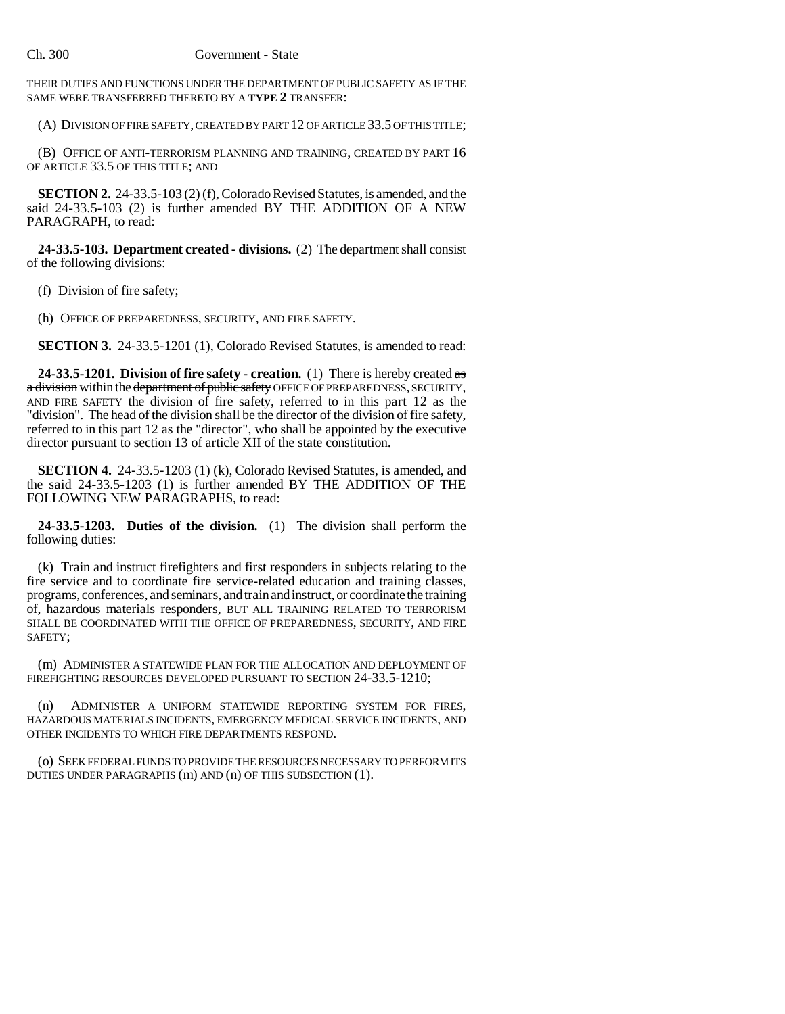THEIR DUTIES AND FUNCTIONS UNDER THE DEPARTMENT OF PUBLIC SAFETY AS IF THE SAME WERE TRANSFERRED THERETO BY A **TYPE 2** TRANSFER:

(A) DIVISION OF FIRE SAFETY, CREATED BY PART 12 OF ARTICLE 33.5 OF THIS TITLE;

(B) OFFICE OF ANTI-TERRORISM PLANNING AND TRAINING, CREATED BY PART 16 OF ARTICLE 33.5 OF THIS TITLE; AND

**SECTION 2.** 24-33.5-103 (2) (f), Colorado Revised Statutes, is amended, and the said 24-33.5-103 (2) is further amended BY THE ADDITION OF A NEW PARAGRAPH, to read:

**24-33.5-103. Department created - divisions.** (2) The department shall consist of the following divisions:

(f) Division of fire safety;

(h) OFFICE OF PREPAREDNESS, SECURITY, AND FIRE SAFETY.

**SECTION 3.** 24-33.5-1201 (1), Colorado Revised Statutes, is amended to read:

**24-33.5-1201. Division of fire safety - creation.** (1) There is hereby created as a division within the department of public safety OFFICE OF PREPAREDNESS, SECURITY, AND FIRE SAFETY the division of fire safety, referred to in this part 12 as the "division". The head of the division shall be the director of the division of fire safety, referred to in this part 12 as the "director", who shall be appointed by the executive director pursuant to section 13 of article XII of the state constitution.

**SECTION 4.** 24-33.5-1203 (1) (k), Colorado Revised Statutes, is amended, and the said 24-33.5-1203 (1) is further amended BY THE ADDITION OF THE FOLLOWING NEW PARAGRAPHS, to read:

**24-33.5-1203. Duties of the division.** (1) The division shall perform the following duties:

(k) Train and instruct firefighters and first responders in subjects relating to the fire service and to coordinate fire service-related education and training classes, programs, conferences, and seminars, and train and instruct, or coordinate the training of, hazardous materials responders, BUT ALL TRAINING RELATED TO TERRORISM SHALL BE COORDINATED WITH THE OFFICE OF PREPAREDNESS, SECURITY, AND FIRE SAFETY;

(m) ADMINISTER A STATEWIDE PLAN FOR THE ALLOCATION AND DEPLOYMENT OF FIREFIGHTING RESOURCES DEVELOPED PURSUANT TO SECTION 24-33.5-1210;

(n) ADMINISTER A UNIFORM STATEWIDE REPORTING SYSTEM FOR FIRES, HAZARDOUS MATERIALS INCIDENTS, EMERGENCY MEDICAL SERVICE INCIDENTS, AND OTHER INCIDENTS TO WHICH FIRE DEPARTMENTS RESPOND.

(o) SEEK FEDERAL FUNDS TO PROVIDE THE RESOURCES NECESSARY TO PERFORM ITS DUTIES UNDER PARAGRAPHS (m) AND (n) OF THIS SUBSECTION (1).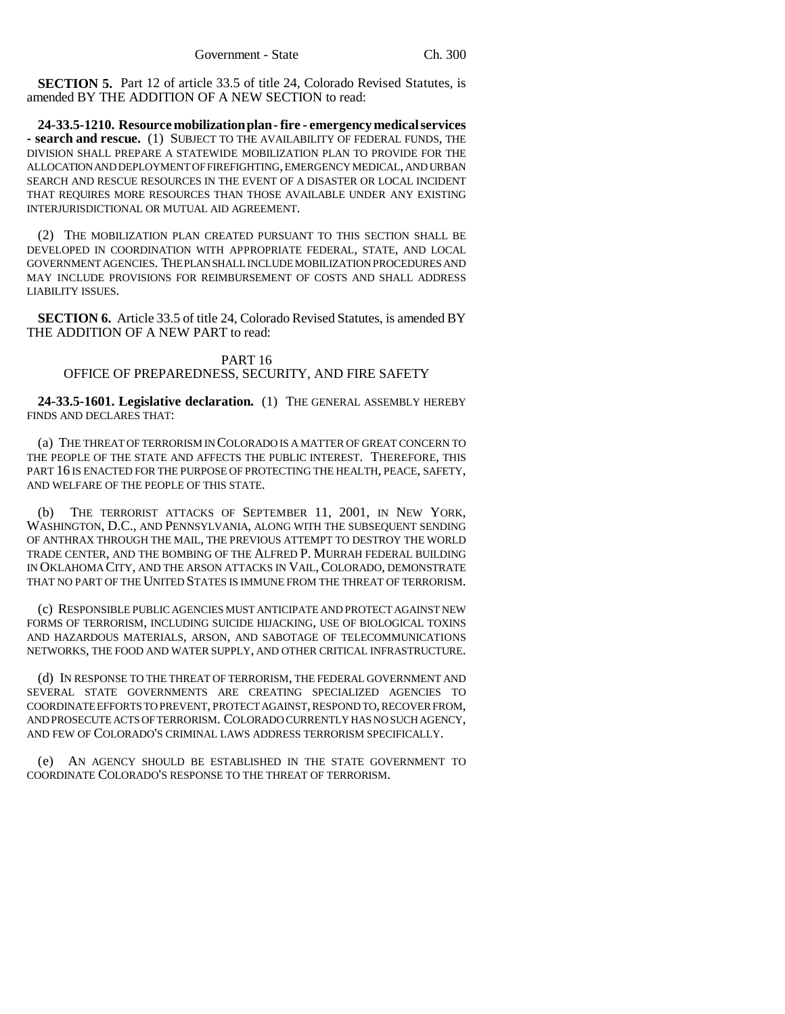**SECTION 5.** Part 12 of article 33.5 of title 24, Colorado Revised Statutes, is amended BY THE ADDITION OF A NEW SECTION to read:

**24-33.5-1210. Resource mobilization plan - fire - emergency medical services - search and rescue.** (1) SUBJECT TO THE AVAILABILITY OF FEDERAL FUNDS, THE DIVISION SHALL PREPARE A STATEWIDE MOBILIZATION PLAN TO PROVIDE FOR THE ALLOCATION AND DEPLOYMENT OF FIREFIGHTING, EMERGENCY MEDICAL, AND URBAN SEARCH AND RESCUE RESOURCES IN THE EVENT OF A DISASTER OR LOCAL INCIDENT THAT REQUIRES MORE RESOURCES THAN THOSE AVAILABLE UNDER ANY EXISTING INTERJURISDICTIONAL OR MUTUAL AID AGREEMENT.

(2) THE MOBILIZATION PLAN CREATED PURSUANT TO THIS SECTION SHALL BE DEVELOPED IN COORDINATION WITH APPROPRIATE FEDERAL, STATE, AND LOCAL GOVERNMENT AGENCIES. THE PLAN SHALL INCLUDE MOBILIZATION PROCEDURES AND MAY INCLUDE PROVISIONS FOR REIMBURSEMENT OF COSTS AND SHALL ADDRESS LIABILITY ISSUES.

**SECTION 6.** Article 33.5 of title 24, Colorado Revised Statutes, is amended BY THE ADDITION OF A NEW PART to read:

#### PART 16 OFFICE OF PREPAREDNESS, SECURITY, AND FIRE SAFETY

**24-33.5-1601. Legislative declaration.** (1) THE GENERAL ASSEMBLY HEREBY FINDS AND DECLARES THAT:

(a) THE THREAT OF TERRORISM IN COLORADO IS A MATTER OF GREAT CONCERN TO THE PEOPLE OF THE STATE AND AFFECTS THE PUBLIC INTEREST. THEREFORE, THIS PART 16 IS ENACTED FOR THE PURPOSE OF PROTECTING THE HEALTH, PEACE, SAFETY, AND WELFARE OF THE PEOPLE OF THIS STATE.

(b) THE TERRORIST ATTACKS OF SEPTEMBER 11, 2001, IN NEW YORK, WASHINGTON, D.C., AND PENNSYLVANIA, ALONG WITH THE SUBSEQUENT SENDING OF ANTHRAX THROUGH THE MAIL, THE PREVIOUS ATTEMPT TO DESTROY THE WORLD TRADE CENTER, AND THE BOMBING OF THE ALFRED P. MURRAH FEDERAL BUILDING IN OKLAHOMA CITY, AND THE ARSON ATTACKS IN VAIL,COLORADO, DEMONSTRATE THAT NO PART OF THE UNITED STATES IS IMMUNE FROM THE THREAT OF TERRORISM.

(c) RESPONSIBLE PUBLIC AGENCIES MUST ANTICIPATE AND PROTECT AGAINST NEW FORMS OF TERRORISM, INCLUDING SUICIDE HIJACKING, USE OF BIOLOGICAL TOXINS AND HAZARDOUS MATERIALS, ARSON, AND SABOTAGE OF TELECOMMUNICATIONS NETWORKS, THE FOOD AND WATER SUPPLY, AND OTHER CRITICAL INFRASTRUCTURE.

(d) IN RESPONSE TO THE THREAT OF TERRORISM, THE FEDERAL GOVERNMENT AND SEVERAL STATE GOVERNMENTS ARE CREATING SPECIALIZED AGENCIES TO COORDINATE EFFORTS TO PREVENT, PROTECT AGAINST, RESPOND TO, RECOVER FROM, AND PROSECUTE ACTS OF TERRORISM. COLORADO CURRENTLY HAS NO SUCH AGENCY, AND FEW OF COLORADO'S CRIMINAL LAWS ADDRESS TERRORISM SPECIFICALLY.

(e) AN AGENCY SHOULD BE ESTABLISHED IN THE STATE GOVERNMENT TO COORDINATE COLORADO'S RESPONSE TO THE THREAT OF TERRORISM.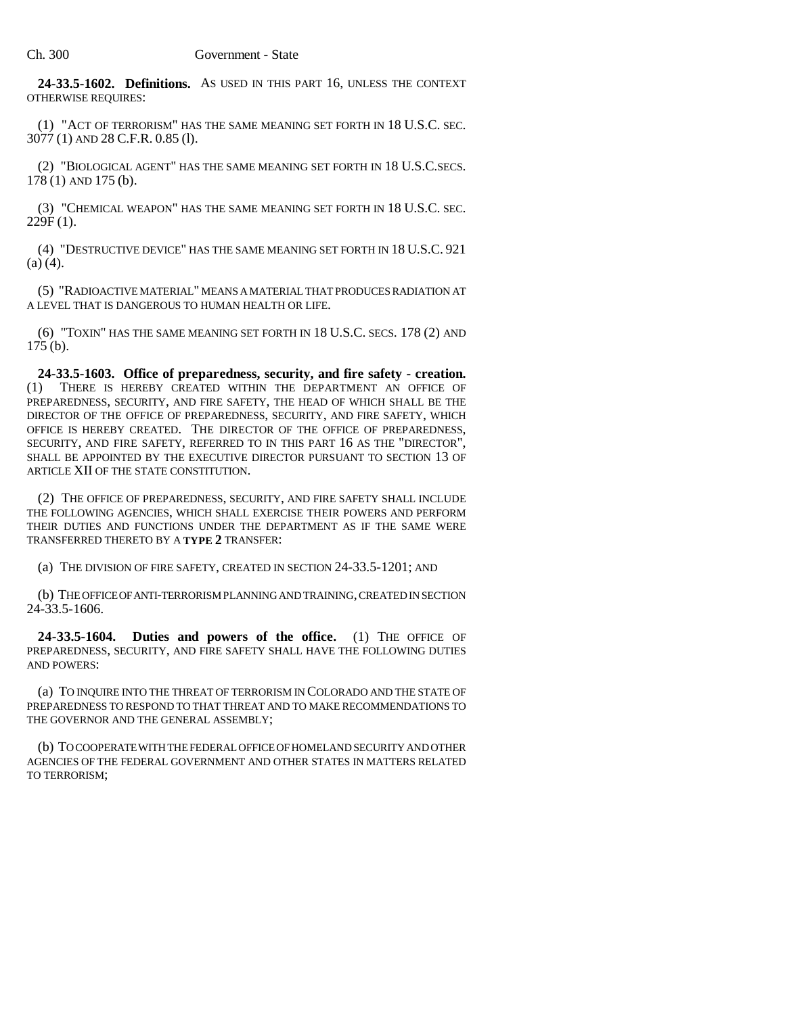**24-33.5-1602. Definitions.** AS USED IN THIS PART 16, UNLESS THE CONTEXT OTHERWISE REQUIRES:

(1) "ACT OF TERRORISM" HAS THE SAME MEANING SET FORTH IN 18 U.S.C. SEC. 3077 (1) AND 28 C.F.R. 0.85 (l).

(2) "BIOLOGICAL AGENT" HAS THE SAME MEANING SET FORTH IN 18 U.S.C.SECS. 178 (1) AND 175 (b).

(3) "CHEMICAL WEAPON" HAS THE SAME MEANING SET FORTH IN 18 U.S.C. SEC. 229F (1).

(4) "DESTRUCTIVE DEVICE" HAS THE SAME MEANING SET FORTH IN 18 U.S.C. 921  $(a) (4)$ .

(5) "RADIOACTIVE MATERIAL" MEANS A MATERIAL THAT PRODUCES RADIATION AT A LEVEL THAT IS DANGEROUS TO HUMAN HEALTH OR LIFE.

(6) "TOXIN" HAS THE SAME MEANING SET FORTH IN 18 U.S.C. SECS. 178 (2) AND 175 (b).

**24-33.5-1603. Office of preparedness, security, and fire safety - creation.** THERE IS HEREBY CREATED WITHIN THE DEPARTMENT AN OFFICE OF PREPAREDNESS, SECURITY, AND FIRE SAFETY, THE HEAD OF WHICH SHALL BE THE DIRECTOR OF THE OFFICE OF PREPAREDNESS, SECURITY, AND FIRE SAFETY, WHICH OFFICE IS HEREBY CREATED. THE DIRECTOR OF THE OFFICE OF PREPAREDNESS, SECURITY, AND FIRE SAFETY, REFERRED TO IN THIS PART 16 AS THE "DIRECTOR", SHALL BE APPOINTED BY THE EXECUTIVE DIRECTOR PURSUANT TO SECTION 13 OF ARTICLE XII OF THE STATE CONSTITUTION.

(2) THE OFFICE OF PREPAREDNESS, SECURITY, AND FIRE SAFETY SHALL INCLUDE THE FOLLOWING AGENCIES, WHICH SHALL EXERCISE THEIR POWERS AND PERFORM THEIR DUTIES AND FUNCTIONS UNDER THE DEPARTMENT AS IF THE SAME WERE TRANSFERRED THERETO BY A **TYPE 2** TRANSFER:

(a) THE DIVISION OF FIRE SAFETY, CREATED IN SECTION 24-33.5-1201; AND

(b) THE OFFICE OF ANTI-TERRORISM PLANNING AND TRAINING, CREATED IN SECTION 24-33.5-1606.

**24-33.5-1604. Duties and powers of the office.** (1) THE OFFICE OF PREPAREDNESS, SECURITY, AND FIRE SAFETY SHALL HAVE THE FOLLOWING DUTIES AND POWERS:

(a) TO INQUIRE INTO THE THREAT OF TERRORISM IN COLORADO AND THE STATE OF PREPAREDNESS TO RESPOND TO THAT THREAT AND TO MAKE RECOMMENDATIONS TO THE GOVERNOR AND THE GENERAL ASSEMBLY;

(b) TO COOPERATE WITH THE FEDERAL OFFICE OF HOMELAND SECURITY AND OTHER AGENCIES OF THE FEDERAL GOVERNMENT AND OTHER STATES IN MATTERS RELATED TO TERRORISM;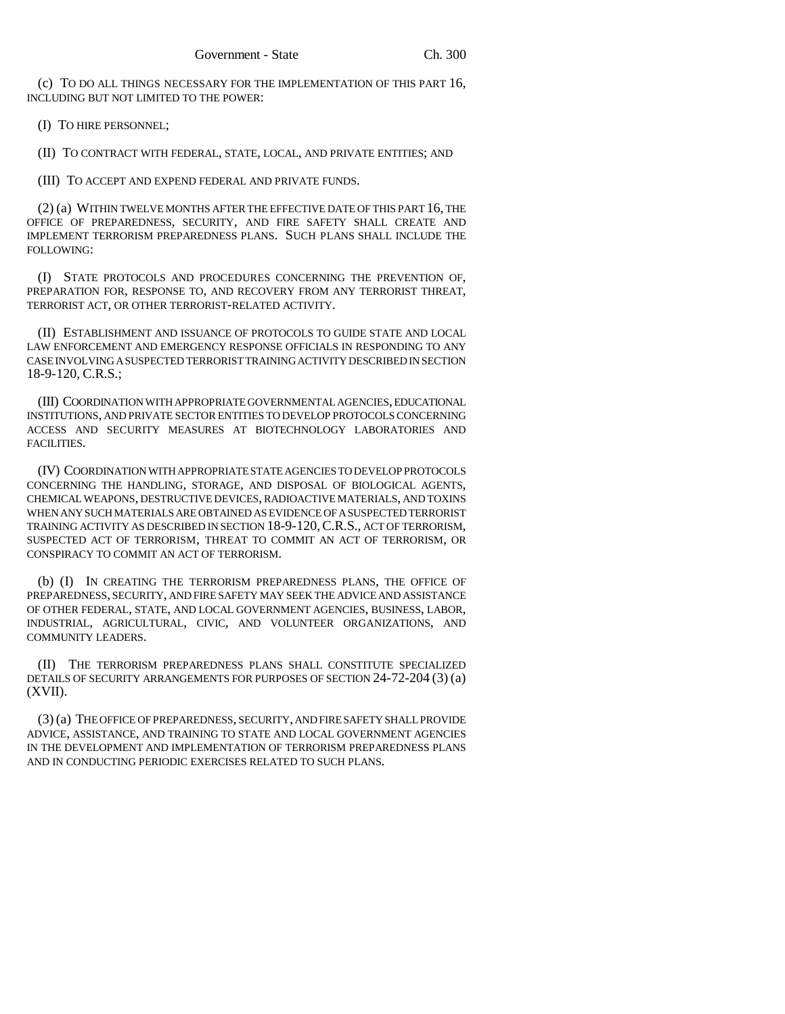(c) TO DO ALL THINGS NECESSARY FOR THE IMPLEMENTATION OF THIS PART 16, INCLUDING BUT NOT LIMITED TO THE POWER:

(I) TO HIRE PERSONNEL;

(II) TO CONTRACT WITH FEDERAL, STATE, LOCAL, AND PRIVATE ENTITIES; AND

(III) TO ACCEPT AND EXPEND FEDERAL AND PRIVATE FUNDS.

(2) (a) WITHIN TWELVE MONTHS AFTER THE EFFECTIVE DATE OF THIS PART 16, THE OFFICE OF PREPAREDNESS, SECURITY, AND FIRE SAFETY SHALL CREATE AND IMPLEMENT TERRORISM PREPAREDNESS PLANS. SUCH PLANS SHALL INCLUDE THE FOLLOWING:

(I) STATE PROTOCOLS AND PROCEDURES CONCERNING THE PREVENTION OF, PREPARATION FOR, RESPONSE TO, AND RECOVERY FROM ANY TERRORIST THREAT, TERRORIST ACT, OR OTHER TERRORIST-RELATED ACTIVITY.

(II) ESTABLISHMENT AND ISSUANCE OF PROTOCOLS TO GUIDE STATE AND LOCAL LAW ENFORCEMENT AND EMERGENCY RESPONSE OFFICIALS IN RESPONDING TO ANY CASE INVOLVING A SUSPECTED TERRORIST TRAINING ACTIVITY DESCRIBED IN SECTION 18-9-120, C.R.S.;

(III) COORDINATION WITH APPROPRIATE GOVERNMENTAL AGENCIES, EDUCATIONAL INSTITUTIONS, AND PRIVATE SECTOR ENTITIES TO DEVELOP PROTOCOLS CONCERNING ACCESS AND SECURITY MEASURES AT BIOTECHNOLOGY LABORATORIES AND FACILITIES.

(IV) COORDINATION WITH APPROPRIATE STATE AGENCIES TO DEVELOP PROTOCOLS CONCERNING THE HANDLING, STORAGE, AND DISPOSAL OF BIOLOGICAL AGENTS, CHEMICAL WEAPONS, DESTRUCTIVE DEVICES, RADIOACTIVE MATERIALS, AND TOXINS WHEN ANY SUCH MATERIALS ARE OBTAINED AS EVIDENCE OF A SUSPECTED TERRORIST TRAINING ACTIVITY AS DESCRIBED IN SECTION 18-9-120,C.R.S., ACT OF TERRORISM, SUSPECTED ACT OF TERRORISM, THREAT TO COMMIT AN ACT OF TERRORISM, OR CONSPIRACY TO COMMIT AN ACT OF TERRORISM.

(b) (I) IN CREATING THE TERRORISM PREPAREDNESS PLANS, THE OFFICE OF PREPAREDNESS, SECURITY, AND FIRE SAFETY MAY SEEK THE ADVICE AND ASSISTANCE OF OTHER FEDERAL, STATE, AND LOCAL GOVERNMENT AGENCIES, BUSINESS, LABOR, INDUSTRIAL, AGRICULTURAL, CIVIC, AND VOLUNTEER ORGANIZATIONS, AND COMMUNITY LEADERS.

(II) THE TERRORISM PREPAREDNESS PLANS SHALL CONSTITUTE SPECIALIZED DETAILS OF SECURITY ARRANGEMENTS FOR PURPOSES OF SECTION 24-72-204 (3) (a)  $(XVII)$ .

(3) (a) THE OFFICE OF PREPAREDNESS, SECURITY, AND FIRE SAFETY SHALL PROVIDE ADVICE, ASSISTANCE, AND TRAINING TO STATE AND LOCAL GOVERNMENT AGENCIES IN THE DEVELOPMENT AND IMPLEMENTATION OF TERRORISM PREPAREDNESS PLANS AND IN CONDUCTING PERIODIC EXERCISES RELATED TO SUCH PLANS.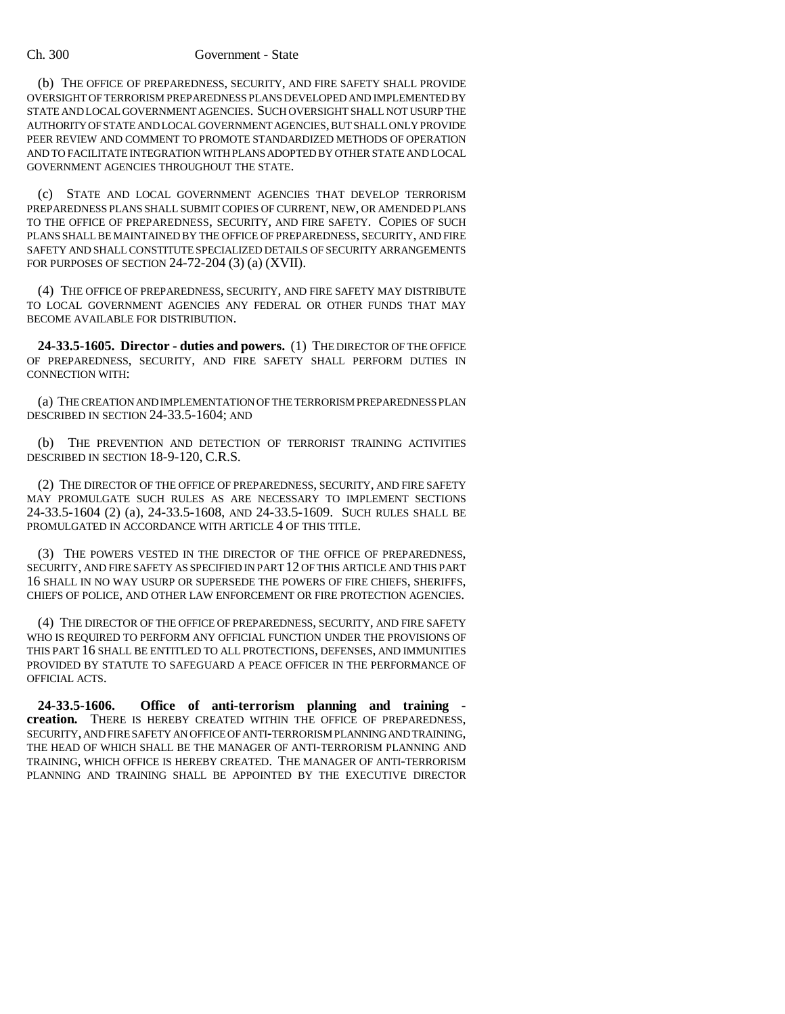#### Ch. 300 Government - State

(b) THE OFFICE OF PREPAREDNESS, SECURITY, AND FIRE SAFETY SHALL PROVIDE OVERSIGHT OF TERRORISM PREPAREDNESS PLANS DEVELOPED AND IMPLEMENTED BY STATE AND LOCAL GOVERNMENT AGENCIES. SUCH OVERSIGHT SHALL NOT USURP THE AUTHORITY OF STATE AND LOCAL GOVERNMENT AGENCIES, BUT SHALL ONLY PROVIDE PEER REVIEW AND COMMENT TO PROMOTE STANDARDIZED METHODS OF OPERATION AND TO FACILITATE INTEGRATION WITH PLANS ADOPTED BY OTHER STATE AND LOCAL GOVERNMENT AGENCIES THROUGHOUT THE STATE.

(c) STATE AND LOCAL GOVERNMENT AGENCIES THAT DEVELOP TERRORISM PREPAREDNESS PLANS SHALL SUBMIT COPIES OF CURRENT, NEW, OR AMENDED PLANS TO THE OFFICE OF PREPAREDNESS, SECURITY, AND FIRE SAFETY. COPIES OF SUCH PLANS SHALL BE MAINTAINED BY THE OFFICE OF PREPAREDNESS, SECURITY, AND FIRE SAFETY AND SHALL CONSTITUTE SPECIALIZED DETAILS OF SECURITY ARRANGEMENTS FOR PURPOSES OF SECTION 24-72-204 (3) (a) (XVII).

(4) THE OFFICE OF PREPAREDNESS, SECURITY, AND FIRE SAFETY MAY DISTRIBUTE TO LOCAL GOVERNMENT AGENCIES ANY FEDERAL OR OTHER FUNDS THAT MAY BECOME AVAILABLE FOR DISTRIBUTION.

**24-33.5-1605. Director - duties and powers.** (1) THE DIRECTOR OF THE OFFICE OF PREPAREDNESS, SECURITY, AND FIRE SAFETY SHALL PERFORM DUTIES IN CONNECTION WITH:

(a) THE CREATION AND IMPLEMENTATION OF THE TERRORISM PREPAREDNESS PLAN DESCRIBED IN SECTION 24-33.5-1604; AND

(b) THE PREVENTION AND DETECTION OF TERRORIST TRAINING ACTIVITIES DESCRIBED IN SECTION 18-9-120, C.R.S.

(2) THE DIRECTOR OF THE OFFICE OF PREPAREDNESS, SECURITY, AND FIRE SAFETY MAY PROMULGATE SUCH RULES AS ARE NECESSARY TO IMPLEMENT SECTIONS 24-33.5-1604 (2) (a), 24-33.5-1608, AND 24-33.5-1609. SUCH RULES SHALL BE PROMULGATED IN ACCORDANCE WITH ARTICLE 4 OF THIS TITLE.

(3) THE POWERS VESTED IN THE DIRECTOR OF THE OFFICE OF PREPAREDNESS, SECURITY, AND FIRE SAFETY AS SPECIFIED IN PART 12 OF THIS ARTICLE AND THIS PART 16 SHALL IN NO WAY USURP OR SUPERSEDE THE POWERS OF FIRE CHIEFS, SHERIFFS, CHIEFS OF POLICE, AND OTHER LAW ENFORCEMENT OR FIRE PROTECTION AGENCIES.

(4) THE DIRECTOR OF THE OFFICE OF PREPAREDNESS, SECURITY, AND FIRE SAFETY WHO IS REQUIRED TO PERFORM ANY OFFICIAL FUNCTION UNDER THE PROVISIONS OF THIS PART 16 SHALL BE ENTITLED TO ALL PROTECTIONS, DEFENSES, AND IMMUNITIES PROVIDED BY STATUTE TO SAFEGUARD A PEACE OFFICER IN THE PERFORMANCE OF OFFICIAL ACTS.

**24-33.5-1606. Office of anti-terrorism planning and training creation.** THERE IS HEREBY CREATED WITHIN THE OFFICE OF PREPAREDNESS, SECURITY, AND FIRE SAFETY AN OFFICE OF ANTI-TERRORISM PLANNING AND TRAINING, THE HEAD OF WHICH SHALL BE THE MANAGER OF ANTI-TERRORISM PLANNING AND TRAINING, WHICH OFFICE IS HEREBY CREATED. THE MANAGER OF ANTI-TERRORISM PLANNING AND TRAINING SHALL BE APPOINTED BY THE EXECUTIVE DIRECTOR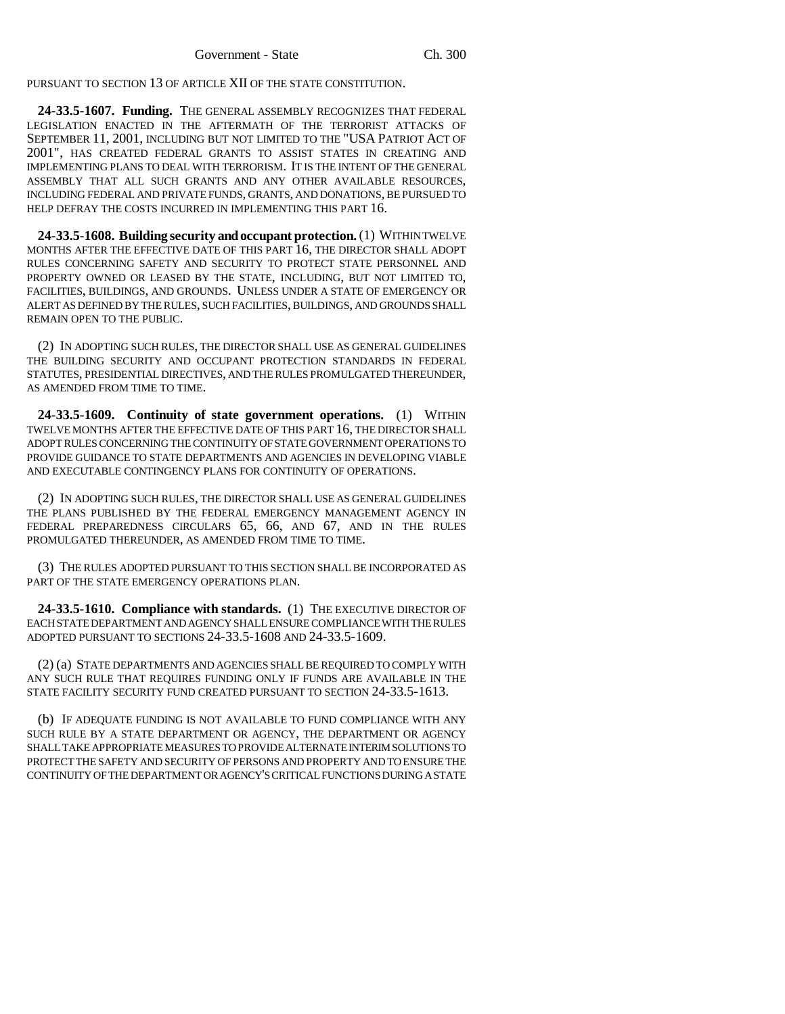PURSUANT TO SECTION 13 OF ARTICLE XII OF THE STATE CONSTITUTION.

**24-33.5-1607. Funding.** THE GENERAL ASSEMBLY RECOGNIZES THAT FEDERAL LEGISLATION ENACTED IN THE AFTERMATH OF THE TERRORIST ATTACKS OF SEPTEMBER 11, 2001, INCLUDING BUT NOT LIMITED TO THE "USA PATRIOT ACT OF 2001", HAS CREATED FEDERAL GRANTS TO ASSIST STATES IN CREATING AND IMPLEMENTING PLANS TO DEAL WITH TERRORISM. IT IS THE INTENT OF THE GENERAL ASSEMBLY THAT ALL SUCH GRANTS AND ANY OTHER AVAILABLE RESOURCES, INCLUDING FEDERAL AND PRIVATE FUNDS, GRANTS, AND DONATIONS, BE PURSUED TO HELP DEFRAY THE COSTS INCURRED IN IMPLEMENTING THIS PART 16.

**24-33.5-1608. Building security and occupant protection.** (1) WITHIN TWELVE MONTHS AFTER THE EFFECTIVE DATE OF THIS PART 16, THE DIRECTOR SHALL ADOPT RULES CONCERNING SAFETY AND SECURITY TO PROTECT STATE PERSONNEL AND PROPERTY OWNED OR LEASED BY THE STATE, INCLUDING, BUT NOT LIMITED TO, FACILITIES, BUILDINGS, AND GROUNDS. UNLESS UNDER A STATE OF EMERGENCY OR ALERT AS DEFINED BY THE RULES, SUCH FACILITIES, BUILDINGS, AND GROUNDS SHALL REMAIN OPEN TO THE PUBLIC.

(2) IN ADOPTING SUCH RULES, THE DIRECTOR SHALL USE AS GENERAL GUIDELINES THE BUILDING SECURITY AND OCCUPANT PROTECTION STANDARDS IN FEDERAL STATUTES, PRESIDENTIAL DIRECTIVES, AND THE RULES PROMULGATED THEREUNDER, AS AMENDED FROM TIME TO TIME.

**24-33.5-1609. Continuity of state government operations.** (1) WITHIN TWELVE MONTHS AFTER THE EFFECTIVE DATE OF THIS PART 16, THE DIRECTOR SHALL ADOPT RULES CONCERNING THE CONTINUITY OF STATE GOVERNMENT OPERATIONS TO PROVIDE GUIDANCE TO STATE DEPARTMENTS AND AGENCIES IN DEVELOPING VIABLE AND EXECUTABLE CONTINGENCY PLANS FOR CONTINUITY OF OPERATIONS.

(2) IN ADOPTING SUCH RULES, THE DIRECTOR SHALL USE AS GENERAL GUIDELINES THE PLANS PUBLISHED BY THE FEDERAL EMERGENCY MANAGEMENT AGENCY IN FEDERAL PREPAREDNESS CIRCULARS 65, 66, AND 67, AND IN THE RULES PROMULGATED THEREUNDER, AS AMENDED FROM TIME TO TIME.

(3) THE RULES ADOPTED PURSUANT TO THIS SECTION SHALL BE INCORPORATED AS PART OF THE STATE EMERGENCY OPERATIONS PLAN.

**24-33.5-1610. Compliance with standards.** (1) THE EXECUTIVE DIRECTOR OF EACH STATE DEPARTMENT AND AGENCY SHALL ENSURE COMPLIANCE WITH THE RULES ADOPTED PURSUANT TO SECTIONS 24-33.5-1608 AND 24-33.5-1609.

(2) (a) STATE DEPARTMENTS AND AGENCIES SHALL BE REQUIRED TO COMPLY WITH ANY SUCH RULE THAT REQUIRES FUNDING ONLY IF FUNDS ARE AVAILABLE IN THE STATE FACILITY SECURITY FUND CREATED PURSUANT TO SECTION 24-33.5-1613.

(b) IF ADEQUATE FUNDING IS NOT AVAILABLE TO FUND COMPLIANCE WITH ANY SUCH RULE BY A STATE DEPARTMENT OR AGENCY, THE DEPARTMENT OR AGENCY SHALL TAKE APPROPRIATE MEASURES TO PROVIDE ALTERNATE INTERIM SOLUTIONS TO PROTECT THE SAFETY AND SECURITY OF PERSONS AND PROPERTY AND TO ENSURE THE CONTINUITY OF THE DEPARTMENT OR AGENCY'S CRITICAL FUNCTIONS DURING A STATE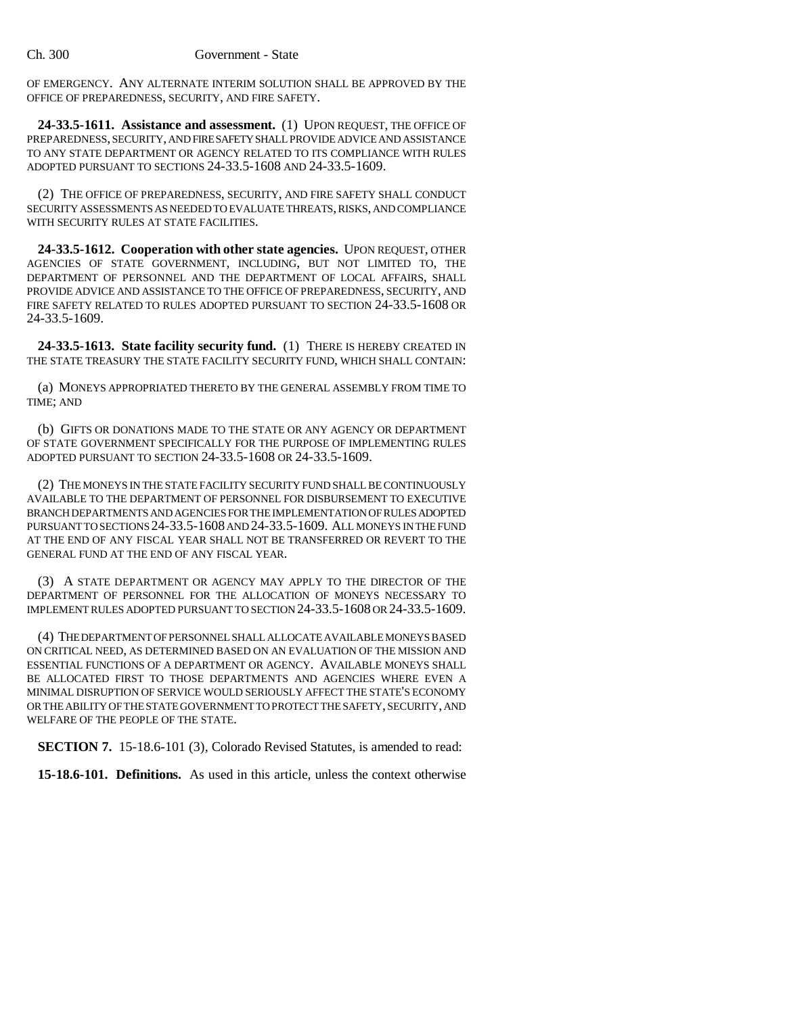OF EMERGENCY. ANY ALTERNATE INTERIM SOLUTION SHALL BE APPROVED BY THE OFFICE OF PREPAREDNESS, SECURITY, AND FIRE SAFETY.

**24-33.5-1611. Assistance and assessment.** (1) UPON REQUEST, THE OFFICE OF PREPAREDNESS, SECURITY, AND FIRE SAFETY SHALL PROVIDE ADVICE AND ASSISTANCE TO ANY STATE DEPARTMENT OR AGENCY RELATED TO ITS COMPLIANCE WITH RULES ADOPTED PURSUANT TO SECTIONS 24-33.5-1608 AND 24-33.5-1609.

(2) THE OFFICE OF PREPAREDNESS, SECURITY, AND FIRE SAFETY SHALL CONDUCT SECURITY ASSESSMENTS AS NEEDED TO EVALUATE THREATS, RISKS, AND COMPLIANCE WITH SECURITY RULES AT STATE FACILITIES.

**24-33.5-1612. Cooperation with other state agencies.** UPON REQUEST, OTHER AGENCIES OF STATE GOVERNMENT, INCLUDING, BUT NOT LIMITED TO, THE DEPARTMENT OF PERSONNEL AND THE DEPARTMENT OF LOCAL AFFAIRS, SHALL PROVIDE ADVICE AND ASSISTANCE TO THE OFFICE OF PREPAREDNESS, SECURITY, AND FIRE SAFETY RELATED TO RULES ADOPTED PURSUANT TO SECTION 24-33.5-1608 OR 24-33.5-1609.

**24-33.5-1613. State facility security fund.** (1) THERE IS HEREBY CREATED IN THE STATE TREASURY THE STATE FACILITY SECURITY FUND, WHICH SHALL CONTAIN:

(a) MONEYS APPROPRIATED THERETO BY THE GENERAL ASSEMBLY FROM TIME TO TIME; AND

(b) GIFTS OR DONATIONS MADE TO THE STATE OR ANY AGENCY OR DEPARTMENT OF STATE GOVERNMENT SPECIFICALLY FOR THE PURPOSE OF IMPLEMENTING RULES ADOPTED PURSUANT TO SECTION 24-33.5-1608 OR 24-33.5-1609.

(2) THE MONEYS IN THE STATE FACILITY SECURITY FUND SHALL BE CONTINUOUSLY AVAILABLE TO THE DEPARTMENT OF PERSONNEL FOR DISBURSEMENT TO EXECUTIVE BRANCH DEPARTMENTS AND AGENCIES FOR THE IMPLEMENTATION OF RULES ADOPTED PURSUANT TO SECTIONS 24-33.5-1608 AND 24-33.5-1609. ALL MONEYS IN THE FUND AT THE END OF ANY FISCAL YEAR SHALL NOT BE TRANSFERRED OR REVERT TO THE GENERAL FUND AT THE END OF ANY FISCAL YEAR.

(3) A STATE DEPARTMENT OR AGENCY MAY APPLY TO THE DIRECTOR OF THE DEPARTMENT OF PERSONNEL FOR THE ALLOCATION OF MONEYS NECESSARY TO IMPLEMENT RULES ADOPTED PURSUANT TO SECTION 24-33.5-1608 OR 24-33.5-1609.

(4) THE DEPARTMENT OF PERSONNEL SHALL ALLOCATE AVAILABLE MONEYS BASED ON CRITICAL NEED, AS DETERMINED BASED ON AN EVALUATION OF THE MISSION AND ESSENTIAL FUNCTIONS OF A DEPARTMENT OR AGENCY. AVAILABLE MONEYS SHALL BE ALLOCATED FIRST TO THOSE DEPARTMENTS AND AGENCIES WHERE EVEN A MINIMAL DISRUPTION OF SERVICE WOULD SERIOUSLY AFFECT THE STATE'S ECONOMY OR THE ABILITY OF THE STATE GOVERNMENT TO PROTECT THE SAFETY, SECURITY, AND WELFARE OF THE PEOPLE OF THE STATE.

**SECTION 7.** 15-18.6-101 (3), Colorado Revised Statutes, is amended to read:

**15-18.6-101. Definitions.** As used in this article, unless the context otherwise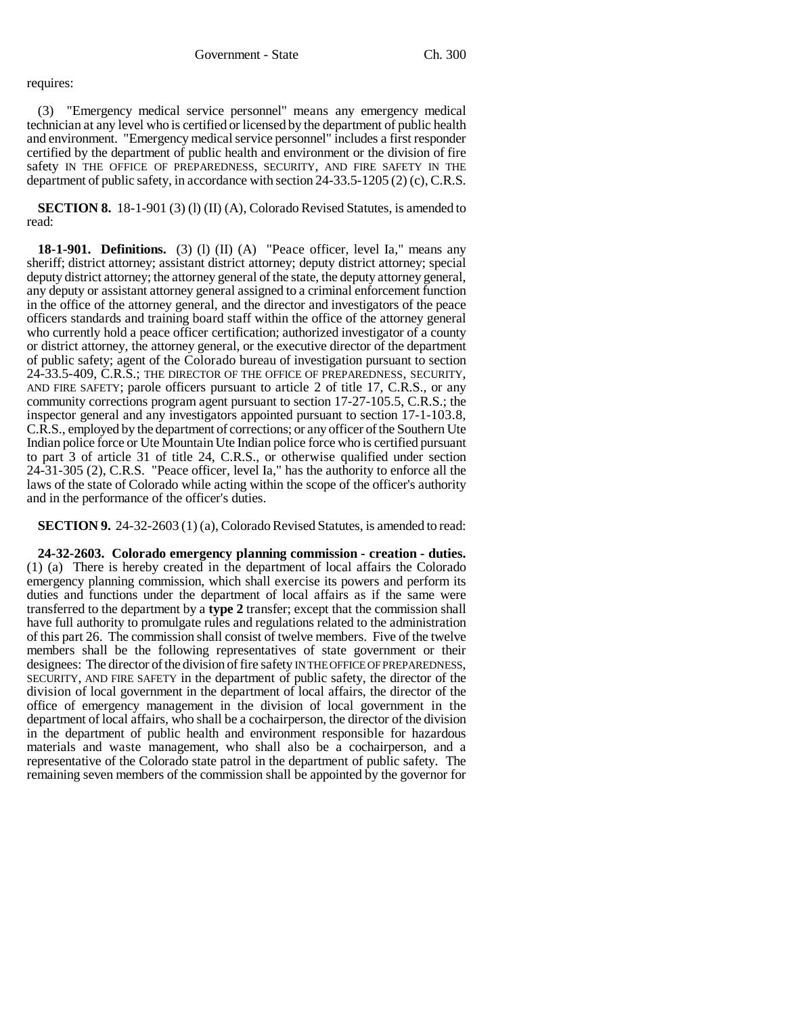### requires:

(3) "Emergency medical service personnel" means any emergency medical technician at any level who is certified or licensed by the department of public health and environment. "Emergency medical service personnel" includes a first responder certified by the department of public health and environment or the division of fire safety IN THE OFFICE OF PREPAREDNESS, SECURITY, AND FIRE SAFETY IN THE department of public safety, in accordance with section 24-33.5-1205 (2) (c), C.R.S.

**SECTION 8.** 18-1-901 (3) (1) (II) (A), Colorado Revised Statutes, is amended to read:

**18-1-901. Definitions.** (3) (l) (II) (A) "Peace officer, level Ia," means any sheriff; district attorney; assistant district attorney; deputy district attorney; special deputy district attorney; the attorney general of the state, the deputy attorney general, any deputy or assistant attorney general assigned to a criminal enforcement function in the office of the attorney general, and the director and investigators of the peace officers standards and training board staff within the office of the attorney general who currently hold a peace officer certification; authorized investigator of a county or district attorney, the attorney general, or the executive director of the department of public safety; agent of the Colorado bureau of investigation pursuant to section 24-33.5-409, C.R.S.; THE DIRECTOR OF THE OFFICE OF PREPAREDNESS, SECURITY, AND FIRE SAFETY; parole officers pursuant to article 2 of title 17, C.R.S., or any community corrections program agent pursuant to section 17-27-105.5, C.R.S.; the inspector general and any investigators appointed pursuant to section 17-1-103.8, C.R.S., employed by the department of corrections; or any officer of the Southern Ute Indian police force or Ute Mountain Ute Indian police force who is certified pursuant to part 3 of article 31 of title 24, C.R.S., or otherwise qualified under section 24-31-305 (2), C.R.S. "Peace officer, level Ia," has the authority to enforce all the laws of the state of Colorado while acting within the scope of the officer's authority and in the performance of the officer's duties.

**SECTION 9.** 24-32-2603 (1) (a), Colorado Revised Statutes, is amended to read:

**24-32-2603. Colorado emergency planning commission - creation - duties.** (1) (a) There is hereby created in the department of local affairs the Colorado emergency planning commission, which shall exercise its powers and perform its duties and functions under the department of local affairs as if the same were transferred to the department by a **type 2** transfer; except that the commission shall have full authority to promulgate rules and regulations related to the administration of this part 26. The commission shall consist of twelve members. Five of the twelve members shall be the following representatives of state government or their designees: The director of the division of fire safety IN THE OFFICE OF PREPAREDNESS, SECURITY, AND FIRE SAFETY in the department of public safety, the director of the division of local government in the department of local affairs, the director of the office of emergency management in the division of local government in the department of local affairs, who shall be a cochairperson, the director of the division in the department of public health and environment responsible for hazardous materials and waste management, who shall also be a cochairperson, and a representative of the Colorado state patrol in the department of public safety. The remaining seven members of the commission shall be appointed by the governor for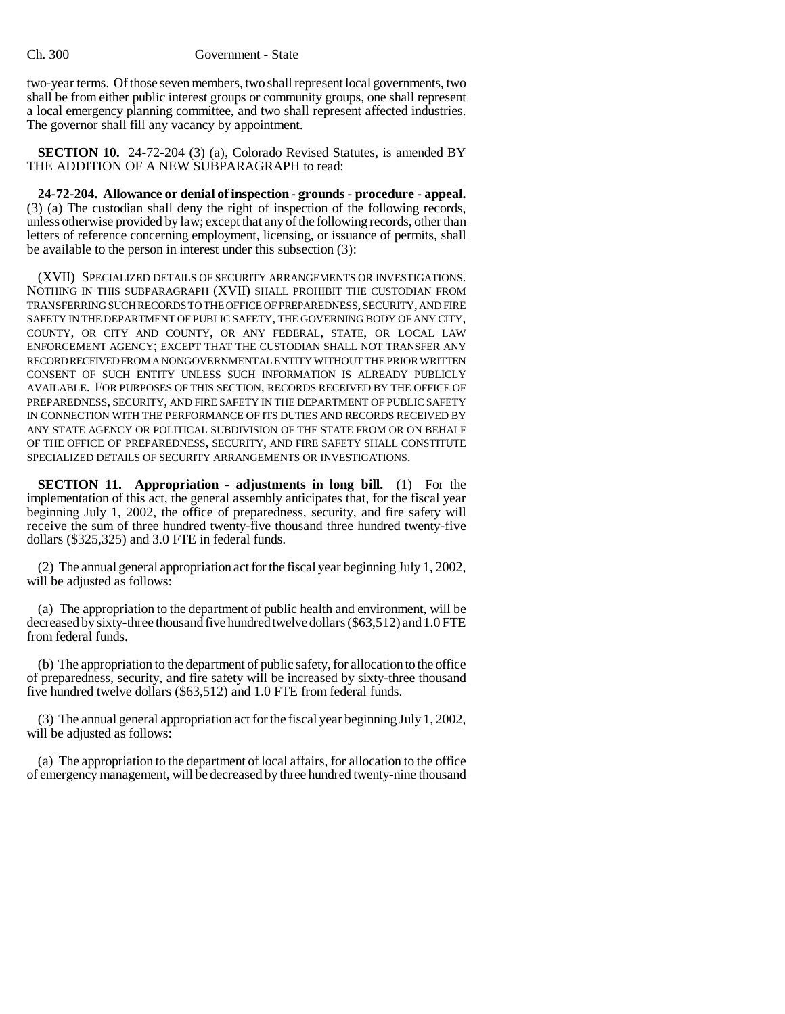two-year terms. Of those seven members, two shall represent local governments, two shall be from either public interest groups or community groups, one shall represent a local emergency planning committee, and two shall represent affected industries. The governor shall fill any vacancy by appointment.

**SECTION 10.** 24-72-204 (3) (a), Colorado Revised Statutes, is amended BY THE ADDITION OF A NEW SUBPARAGRAPH to read:

**24-72-204. Allowance or denial of inspection - grounds - procedure - appeal.** (3) (a) The custodian shall deny the right of inspection of the following records, unless otherwise provided by law; except that any of the following records, other than letters of reference concerning employment, licensing, or issuance of permits, shall be available to the person in interest under this subsection (3):

(XVII) SPECIALIZED DETAILS OF SECURITY ARRANGEMENTS OR INVESTIGATIONS. NOTHING IN THIS SUBPARAGRAPH (XVII) SHALL PROHIBIT THE CUSTODIAN FROM TRANSFERRING SUCH RECORDS TO THE OFFICE OF PREPAREDNESS, SECURITY, AND FIRE SAFETY IN THE DEPARTMENT OF PUBLIC SAFETY, THE GOVERNING BODY OF ANY CITY, COUNTY, OR CITY AND COUNTY, OR ANY FEDERAL, STATE, OR LOCAL LAW ENFORCEMENT AGENCY; EXCEPT THAT THE CUSTODIAN SHALL NOT TRANSFER ANY RECORD RECEIVED FROM A NONGOVERNMENTAL ENTITY WITHOUT THE PRIOR WRITTEN CONSENT OF SUCH ENTITY UNLESS SUCH INFORMATION IS ALREADY PUBLICLY AVAILABLE. FOR PURPOSES OF THIS SECTION, RECORDS RECEIVED BY THE OFFICE OF PREPAREDNESS, SECURITY, AND FIRE SAFETY IN THE DEPARTMENT OF PUBLIC SAFETY IN CONNECTION WITH THE PERFORMANCE OF ITS DUTIES AND RECORDS RECEIVED BY ANY STATE AGENCY OR POLITICAL SUBDIVISION OF THE STATE FROM OR ON BEHALF OF THE OFFICE OF PREPAREDNESS, SECURITY, AND FIRE SAFETY SHALL CONSTITUTE SPECIALIZED DETAILS OF SECURITY ARRANGEMENTS OR INVESTIGATIONS.

**SECTION 11. Appropriation - adjustments in long bill.** (1) For the implementation of this act, the general assembly anticipates that, for the fiscal year beginning July 1, 2002, the office of preparedness, security, and fire safety will receive the sum of three hundred twenty-five thousand three hundred twenty-five dollars (\$325,325) and 3.0 FTE in federal funds.

(2) The annual general appropriation act for the fiscal year beginning July 1, 2002, will be adjusted as follows:

(a) The appropriation to the department of public health and environment, will be decreased by sixty-three thousand five hundred twelve dollars (\$63,512) and 1.0 FTE from federal funds.

(b) The appropriation to the department of public safety, for allocation to the office of preparedness, security, and fire safety will be increased by sixty-three thousand five hundred twelve dollars (\$63,512) and 1.0 FTE from federal funds.

(3) The annual general appropriation act for the fiscal year beginning July 1, 2002, will be adjusted as follows:

(a) The appropriation to the department of local affairs, for allocation to the office of emergency management, will be decreased by three hundred twenty-nine thousand